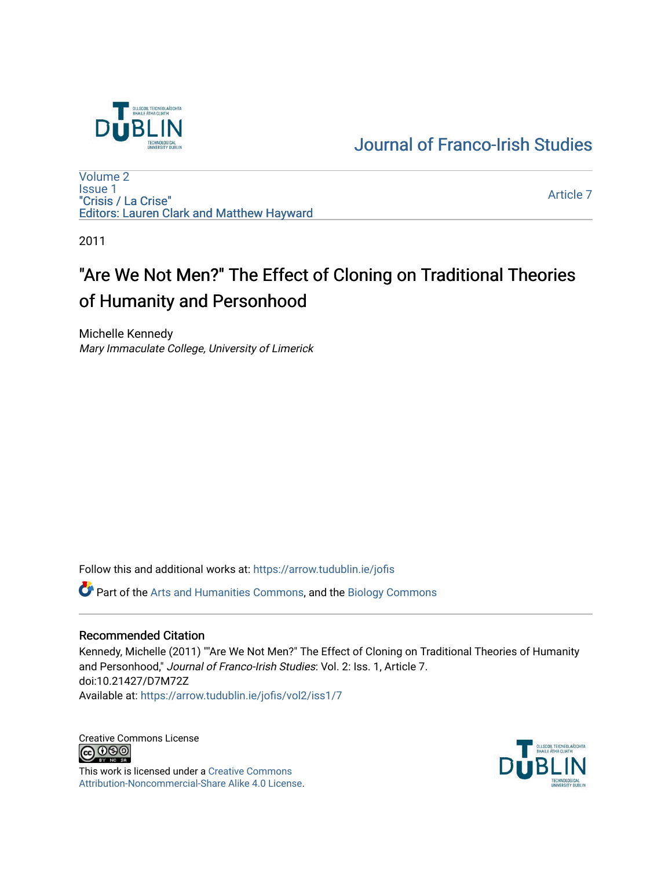

# [Journal of Franco-Irish Studies](https://arrow.tudublin.ie/jofis)

[Volume 2](https://arrow.tudublin.ie/jofis/vol2) [Issue 1](https://arrow.tudublin.ie/jofis/vol2/iss1) "Crisis / La Crise" Editors: Lauren Clark and Matthew Hayward

[Article 7](https://arrow.tudublin.ie/jofis/vol2/iss1/7) 

2011

# "Are We Not Men?" The Effect of Cloning on Traditional Theories of Humanity and Personhood

Michelle Kennedy Mary Immaculate College, University of Limerick

Follow this and additional works at: [https://arrow.tudublin.ie/jofis](https://arrow.tudublin.ie/jofis?utm_source=arrow.tudublin.ie%2Fjofis%2Fvol2%2Fiss1%2F7&utm_medium=PDF&utm_campaign=PDFCoverPages) 

Part of the [Arts and Humanities Commons,](http://network.bepress.com/hgg/discipline/438?utm_source=arrow.tudublin.ie%2Fjofis%2Fvol2%2Fiss1%2F7&utm_medium=PDF&utm_campaign=PDFCoverPages) and the [Biology Commons](http://network.bepress.com/hgg/discipline/41?utm_source=arrow.tudublin.ie%2Fjofis%2Fvol2%2Fiss1%2F7&utm_medium=PDF&utm_campaign=PDFCoverPages)

#### Recommended Citation

Kennedy, Michelle (2011) ""Are We Not Men?" The Effect of Cloning on Traditional Theories of Humanity and Personhood," Journal of Franco-Irish Studies: Vol. 2: Iss. 1, Article 7. doi:10.21427/D7M72Z Available at: [https://arrow.tudublin.ie/jofis/vol2/iss1/7](https://arrow.tudublin.ie/jofis/vol2/iss1/7?utm_source=arrow.tudublin.ie%2Fjofis%2Fvol2%2Fiss1%2F7&utm_medium=PDF&utm_campaign=PDFCoverPages) 

Creative Commons License<br>  $\bigcirc$  0 0 0

This work is licensed under a [Creative Commons](https://creativecommons.org/licenses/by-nc-sa/4.0/) [Attribution-Noncommercial-Share Alike 4.0 License](https://creativecommons.org/licenses/by-nc-sa/4.0/).

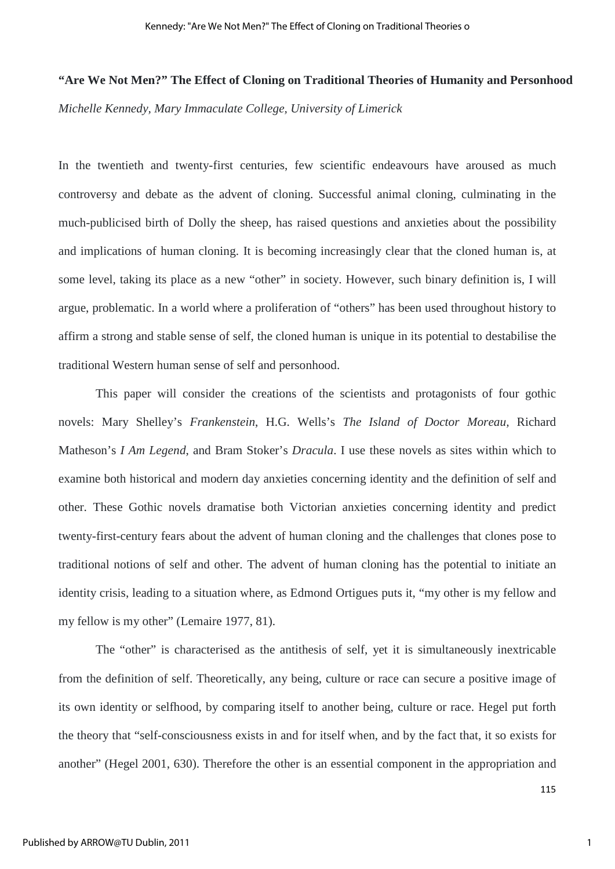## **"Are We Not Men?" The Effect of Cloning on Traditional Theories of Humanity and Personhood**

*Michelle Kennedy, Mary Immaculate College, University of Limerick*

In the twentieth and twenty-first centuries, few scientific endeavours have aroused as much controversy and debate as the advent of cloning. Successful animal cloning, culminating in the much-publicised birth of Dolly the sheep, has raised questions and anxieties about the possibility and implications of human cloning. It is becoming increasingly clear that the cloned human is, at some level, taking its place as a new "other" in society. However, such binary definition is, I will argue, problematic. In a world where a proliferation of "others" has been used throughout history to affirm a strong and stable sense of self, the cloned human is unique in its potential to destabilise the traditional Western human sense of self and personhood.

This paper will consider the creations of the scientists and protagonists of four gothic novels: Mary Shelley's *Frankenstein*, H.G. Wells's *The Island of Doctor Moreau,* Richard Matheson's *I Am Legend*, and Bram Stoker's *Dracula*. I use these novels as sites within which to examine both historical and modern day anxieties concerning identity and the definition of self and other. These Gothic novels dramatise both Victorian anxieties concerning identity and predict twenty-first-century fears about the advent of human cloning and the challenges that clones pose to traditional notions of self and other. The advent of human cloning has the potential to initiate an identity crisis, leading to a situation where, as Edmond Ortigues puts it, "my other is my fellow and my fellow is my other" (Lemaire 1977, 81).

The "other" is characterised as the antithesis of self, yet it is simultaneously inextricable from the definition of self. Theoretically, any being, culture or race can secure a positive image of its own identity or selfhood, by comparing itself to another being, culture or race. Hegel put forth the theory that "self-consciousness exists in and for itself when, and by the fact that, it so exists for another" (Hegel 2001, 630). Therefore the other is an essential component in the appropriation and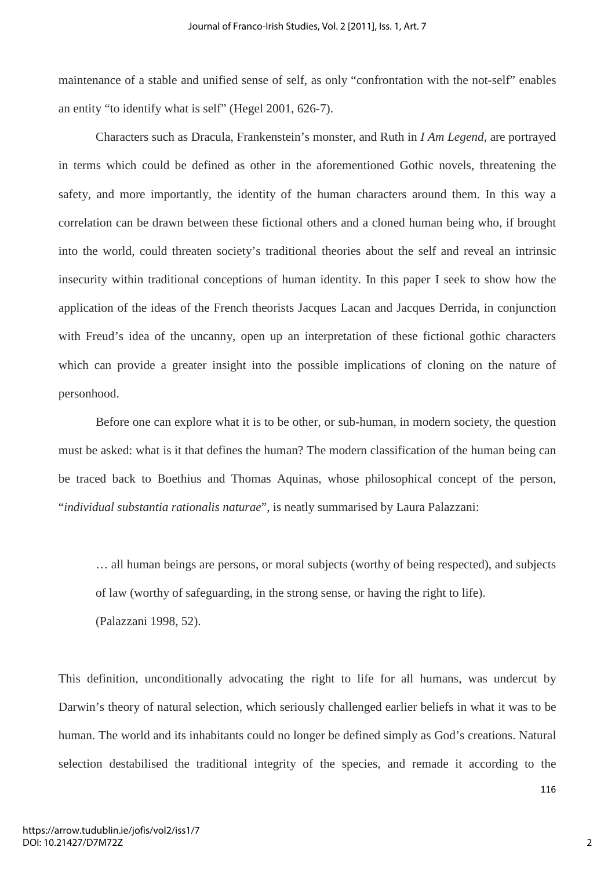maintenance of a stable and unified sense of self, as only "confrontation with the not-self" enables an entity "to identify what is self" (Hegel 2001, 626-7).

Characters such as Dracula, Frankenstein's monster, and Ruth in *I Am Legend*, are portrayed in terms which could be defined as other in the aforementioned Gothic novels, threatening the safety, and more importantly, the identity of the human characters around them. In this way a correlation can be drawn between these fictional others and a cloned human being who, if brought into the world, could threaten society's traditional theories about the self and reveal an intrinsic insecurity within traditional conceptions of human identity. In this paper I seek to show how the application of the ideas of the French theorists Jacques Lacan and Jacques Derrida, in conjunction with Freud's idea of the uncanny, open up an interpretation of these fictional gothic characters which can provide a greater insight into the possible implications of cloning on the nature of personhood.

Before one can explore what it is to be other, or sub-human, in modern society, the question must be asked: what is it that defines the human? The modern classification of the human being can be traced back to Boethius and Thomas Aquinas, whose philosophical concept of the person, "*individual substantia rationalis naturae*", is neatly summarised by Laura Palazzani:

… all human beings are persons, or moral subjects (worthy of being respected), and subjects of law (worthy of safeguarding, in the strong sense, or having the right to life). (Palazzani 1998, 52).

This definition, unconditionally advocating the right to life for all humans, was undercut by Darwin's theory of natural selection, which seriously challenged earlier beliefs in what it was to be human. The world and its inhabitants could no longer be defined simply as God's creations. Natural selection destabilised the traditional integrity of the species, and remade it according to the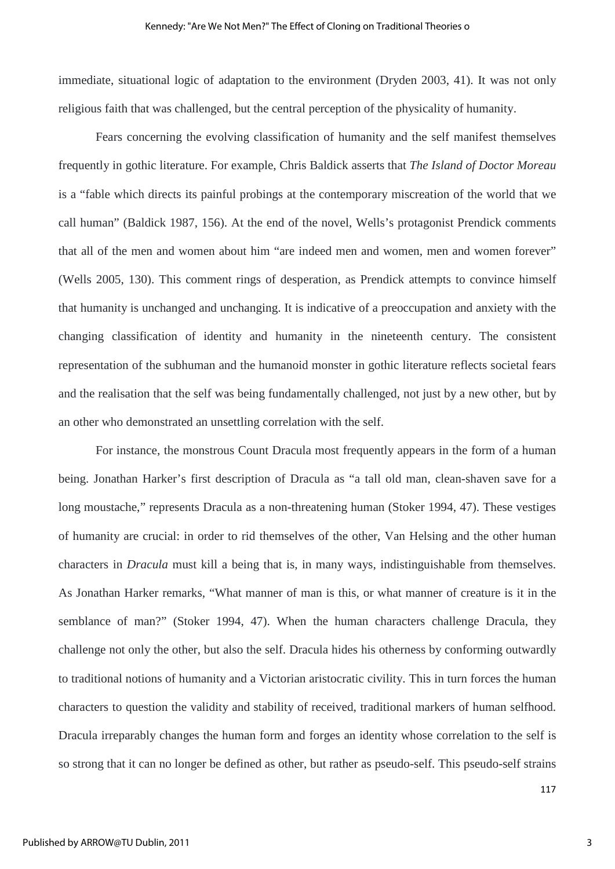immediate, situational logic of adaptation to the environment (Dryden 2003, 41). It was not only religious faith that was challenged, but the central perception of the physicality of humanity.

Fears concerning the evolving classification of humanity and the self manifest themselves frequently in gothic literature. For example, Chris Baldick asserts that *The Island of Doctor Moreau* is a "fable which directs its painful probings at the contemporary miscreation of the world that we call human" (Baldick 1987, 156). At the end of the novel, Wells's protagonist Prendick comments that all of the men and women about him "are indeed men and women, men and women forever" (Wells 2005, 130). This comment rings of desperation, as Prendick attempts to convince himself that humanity is unchanged and unchanging. It is indicative of a preoccupation and anxiety with the changing classification of identity and humanity in the nineteenth century. The consistent representation of the subhuman and the humanoid monster in gothic literature reflects societal fears and the realisation that the self was being fundamentally challenged, not just by a new other, but by an other who demonstrated an unsettling correlation with the self.

For instance, the monstrous Count Dracula most frequently appears in the form of a human being. Jonathan Harker's first description of Dracula as "a tall old man, clean-shaven save for a long moustache," represents Dracula as a non-threatening human (Stoker 1994, 47). These vestiges of humanity are crucial: in order to rid themselves of the other, Van Helsing and the other human characters in *Dracula* must kill a being that is, in many ways, indistinguishable from themselves. As Jonathan Harker remarks, "What manner of man is this, or what manner of creature is it in the semblance of man?" (Stoker 1994, 47). When the human characters challenge Dracula, they challenge not only the other, but also the self. Dracula hides his otherness by conforming outwardly to traditional notions of humanity and a Victorian aristocratic civility. This in turn forces the human characters to question the validity and stability of received, traditional markers of human selfhood. Dracula irreparably changes the human form and forges an identity whose correlation to the self is so strong that it can no longer be defined as other, but rather as pseudo-self. This pseudo-self strains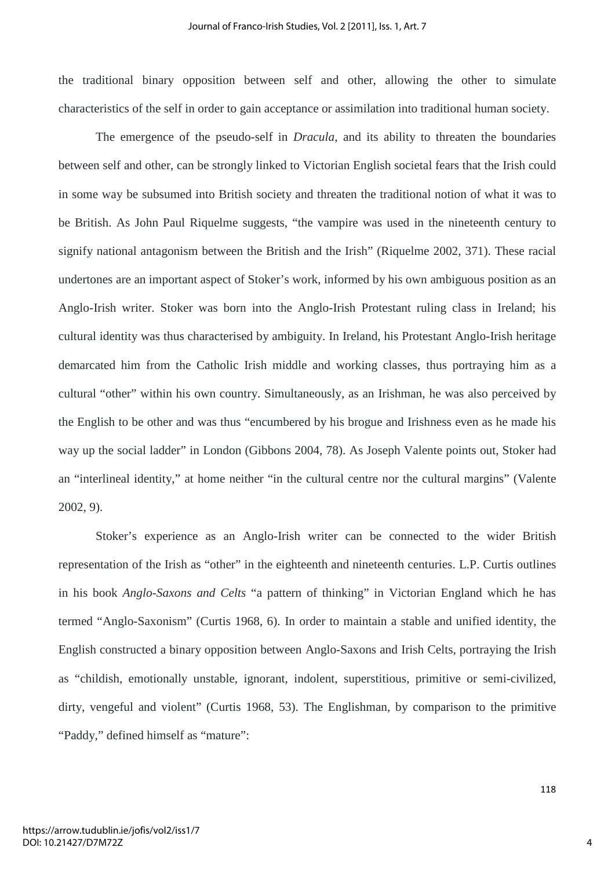the traditional binary opposition between self and other, allowing the other to simulate characteristics of the self in order to gain acceptance or assimilation into traditional human society.

The emergence of the pseudo-self in *Dracula*, and its ability to threaten the boundaries between self and other, can be strongly linked to Victorian English societal fears that the Irish could in some way be subsumed into British society and threaten the traditional notion of what it was to be British. As John Paul Riquelme suggests, "the vampire was used in the nineteenth century to signify national antagonism between the British and the Irish" (Riquelme 2002, 371). These racial undertones are an important aspect of Stoker's work, informed by his own ambiguous position as an Anglo-Irish writer. Stoker was born into the Anglo-Irish Protestant ruling class in Ireland; his cultural identity was thus characterised by ambiguity. In Ireland, his Protestant Anglo-Irish heritage demarcated him from the Catholic Irish middle and working classes, thus portraying him as a cultural "other" within his own country. Simultaneously, as an Irishman, he was also perceived by the English to be other and was thus "encumbered by his brogue and Irishness even as he made his way up the social ladder" in London (Gibbons 2004, 78). As Joseph Valente points out, Stoker had an "interlineal identity," at home neither "in the cultural centre nor the cultural margins" (Valente 2002, 9).

Stoker's experience as an Anglo-Irish writer can be connected to the wider British representation of the Irish as "other" in the eighteenth and nineteenth centuries. L.P. Curtis outlines in his book *Anglo-Saxons and Celts* "a pattern of thinking" in Victorian England which he has termed "Anglo-Saxonism" (Curtis 1968, 6). In order to maintain a stable and unified identity, the English constructed a binary opposition between Anglo-Saxons and Irish Celts, portraying the Irish as "childish, emotionally unstable, ignorant, indolent, superstitious, primitive or semi-civilized, dirty, vengeful and violent" (Curtis 1968, 53). The Englishman, by comparison to the primitive "Paddy," defined himself as "mature":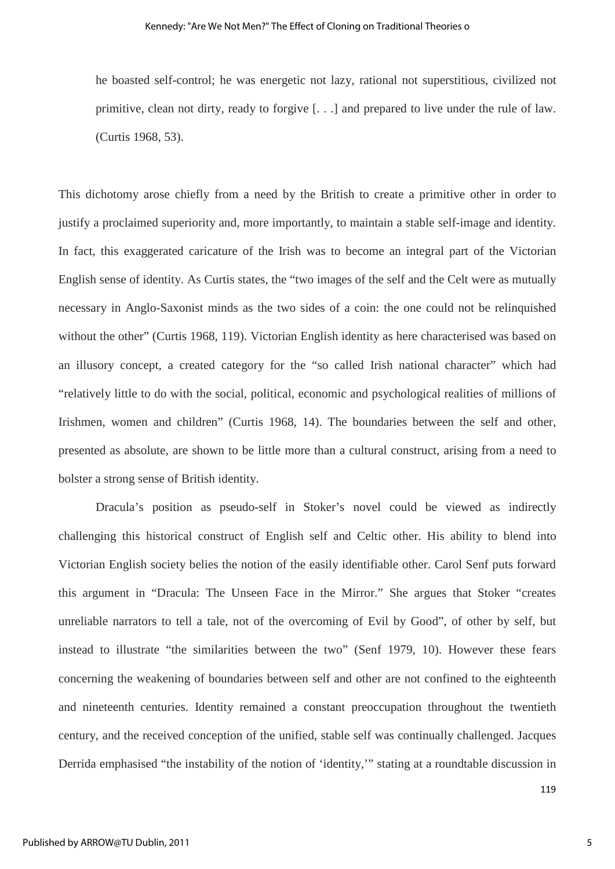he boasted self-control; he was energetic not lazy, rational not superstitious, civilized not primitive, clean not dirty, ready to forgive [. . .] and prepared to live under the rule of law. (Curtis 1968, 53).

This dichotomy arose chiefly from a need by the British to create a primitive other in order to justify a proclaimed superiority and, more importantly, to maintain a stable self-image and identity. In fact, this exaggerated caricature of the Irish was to become an integral part of the Victorian English sense of identity. As Curtis states, the "two images of the self and the Celt were as mutually necessary in Anglo-Saxonist minds as the two sides of a coin: the one could not be relinquished without the other" (Curtis 1968, 119). Victorian English identity as here characterised was based on an illusory concept, a created category for the "so called Irish national character" which had "relatively little to do with the social, political, economic and psychological realities of millions of Irishmen, women and children" (Curtis 1968, 14). The boundaries between the self and other, presented as absolute, are shown to be little more than a cultural construct, arising from a need to bolster a strong sense of British identity.

Dracula's position as pseudo-self in Stoker's novel could be viewed as indirectly challenging this historical construct of English self and Celtic other. His ability to blend into Victorian English society belies the notion of the easily identifiable other. Carol Senf puts forward this argument in "Dracula: The Unseen Face in the Mirror." She argues that Stoker "creates unreliable narrators to tell a tale, not of the overcoming of Evil by Good", of other by self, but instead to illustrate "the similarities between the two" (Senf 1979, 10). However these fears concerning the weakening of boundaries between self and other are not confined to the eighteenth and nineteenth centuries. Identity remained a constant preoccupation throughout the twentieth century, and the received conception of the unified, stable self was continually challenged. Jacques Derrida emphasised "the instability of the notion of 'identity,'" stating at a roundtable discussion in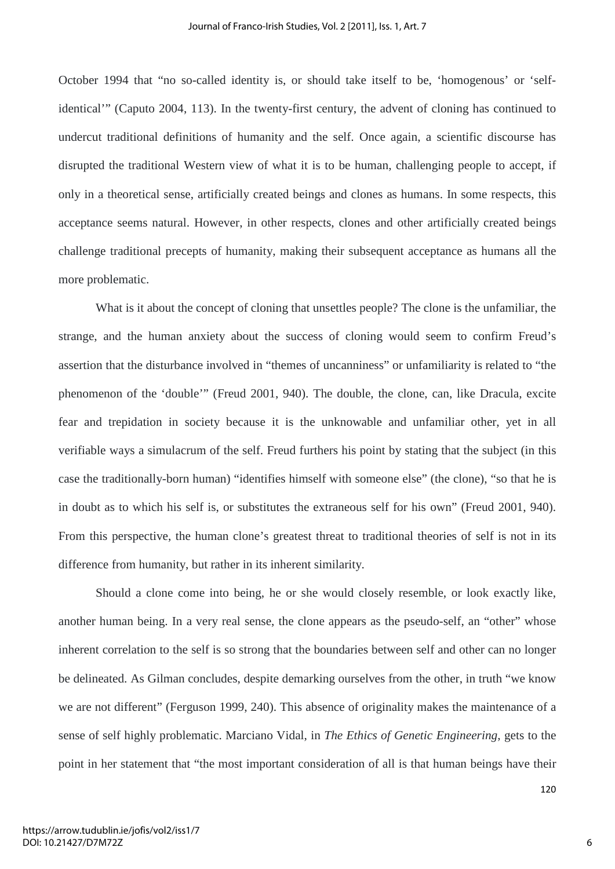October 1994 that "no so-called identity is, or should take itself to be, 'homogenous' or 'selfidentical'" (Caputo 2004, 113). In the twenty-first century, the advent of cloning has continued to undercut traditional definitions of humanity and the self. Once again, a scientific discourse has disrupted the traditional Western view of what it is to be human, challenging people to accept, if only in a theoretical sense, artificially created beings and clones as humans. In some respects, this acceptance seems natural. However, in other respects, clones and other artificially created beings challenge traditional precepts of humanity, making their subsequent acceptance as humans all the more problematic.

What is it about the concept of cloning that unsettles people? The clone is the unfamiliar, the strange, and the human anxiety about the success of cloning would seem to confirm Freud's assertion that the disturbance involved in "themes of uncanniness" or unfamiliarity is related to "the phenomenon of the 'double'" (Freud 2001, 940). The double, the clone, can, like Dracula, excite fear and trepidation in society because it is the unknowable and unfamiliar other, yet in all verifiable ways a simulacrum of the self. Freud furthers his point by stating that the subject (in this case the traditionally-born human) "identifies himself with someone else" (the clone), "so that he is in doubt as to which his self is, or substitutes the extraneous self for his own" (Freud 2001, 940). From this perspective, the human clone's greatest threat to traditional theories of self is not in its difference from humanity, but rather in its inherent similarity.

Should a clone come into being, he or she would closely resemble, or look exactly like, another human being. In a very real sense, the clone appears as the pseudo-self, an "other" whose inherent correlation to the self is so strong that the boundaries between self and other can no longer be delineated. As Gilman concludes, despite demarking ourselves from the other, in truth "we know we are not different" (Ferguson 1999, 240). This absence of originality makes the maintenance of a sense of self highly problematic. Marciano Vidal, in *The Ethics of Genetic Engineering*, gets to the point in her statement that "the most important consideration of all is that human beings have their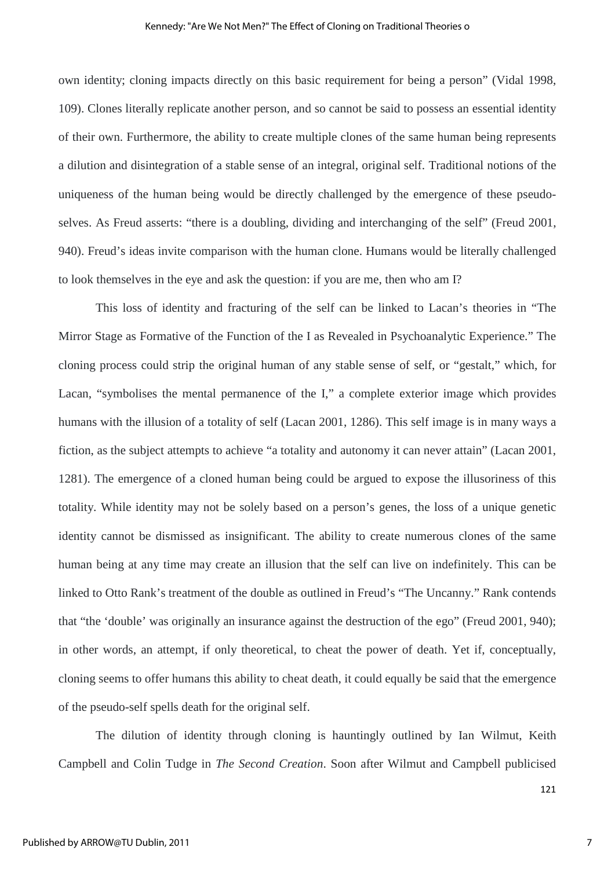#### Kennedy: "Are We Not Men?" The Effect of Cloning on Traditional Theories o

own identity; cloning impacts directly on this basic requirement for being a person" (Vidal 1998, 109). Clones literally replicate another person, and so cannot be said to possess an essential identity of their own. Furthermore, the ability to create multiple clones of the same human being represents a dilution and disintegration of a stable sense of an integral, original self. Traditional notions of the uniqueness of the human being would be directly challenged by the emergence of these pseudoselves. As Freud asserts: "there is a doubling, dividing and interchanging of the self" (Freud 2001, 940). Freud's ideas invite comparison with the human clone. Humans would be literally challenged to look themselves in the eye and ask the question: if you are me, then who am I?

This loss of identity and fracturing of the self can be linked to Lacan's theories in "The Mirror Stage as Formative of the Function of the I as Revealed in Psychoanalytic Experience." The cloning process could strip the original human of any stable sense of self, or "gestalt," which, for Lacan, "symbolises the mental permanence of the I," a complete exterior image which provides humans with the illusion of a totality of self (Lacan 2001, 1286). This self image is in many ways a fiction, as the subject attempts to achieve "a totality and autonomy it can never attain" (Lacan 2001, 1281). The emergence of a cloned human being could be argued to expose the illusoriness of this totality. While identity may not be solely based on a person's genes, the loss of a unique genetic identity cannot be dismissed as insignificant. The ability to create numerous clones of the same human being at any time may create an illusion that the self can live on indefinitely. This can be linked to Otto Rank's treatment of the double as outlined in Freud's "The Uncanny." Rank contends that "the 'double' was originally an insurance against the destruction of the ego" (Freud 2001, 940); in other words, an attempt, if only theoretical, to cheat the power of death. Yet if, conceptually, cloning seems to offer humans this ability to cheat death, it could equally be said that the emergence of the pseudo-self spells death for the original self.

The dilution of identity through cloning is hauntingly outlined by Ian Wilmut, Keith Campbell and Colin Tudge in *The Second Creation*. Soon after Wilmut and Campbell publicised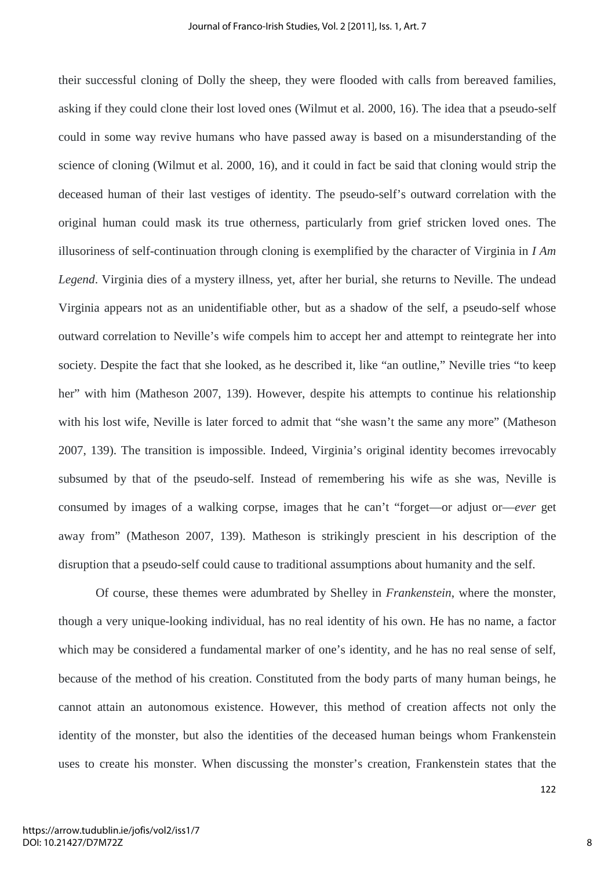their successful cloning of Dolly the sheep, they were flooded with calls from bereaved families, asking if they could clone their lost loved ones (Wilmut et al. 2000, 16). The idea that a pseudo-self could in some way revive humans who have passed away is based on a misunderstanding of the science of cloning (Wilmut et al. 2000, 16), and it could in fact be said that cloning would strip the deceased human of their last vestiges of identity. The pseudo-self's outward correlation with the original human could mask its true otherness, particularly from grief stricken loved ones. The illusoriness of self-continuation through cloning is exemplified by the character of Virginia in *I Am Legend*. Virginia dies of a mystery illness, yet, after her burial, she returns to Neville. The undead Virginia appears not as an unidentifiable other, but as a shadow of the self, a pseudo-self whose outward correlation to Neville's wife compels him to accept her and attempt to reintegrate her into society. Despite the fact that she looked, as he described it, like "an outline," Neville tries "to keep her" with him (Matheson 2007, 139). However, despite his attempts to continue his relationship with his lost wife, Neville is later forced to admit that "she wasn't the same any more" (Matheson 2007, 139). The transition is impossible. Indeed, Virginia's original identity becomes irrevocably subsumed by that of the pseudo-self. Instead of remembering his wife as she was, Neville is consumed by images of a walking corpse, images that he can't "forget—or adjust or—*ever* get away from" (Matheson 2007, 139). Matheson is strikingly prescient in his description of the disruption that a pseudo-self could cause to traditional assumptions about humanity and the self.

Of course, these themes were adumbrated by Shelley in *Frankenstein*, where the monster, though a very unique-looking individual, has no real identity of his own. He has no name, a factor which may be considered a fundamental marker of one's identity, and he has no real sense of self, because of the method of his creation. Constituted from the body parts of many human beings, he cannot attain an autonomous existence. However, this method of creation affects not only the identity of the monster, but also the identities of the deceased human beings whom Frankenstein uses to create his monster. When discussing the monster's creation, Frankenstein states that the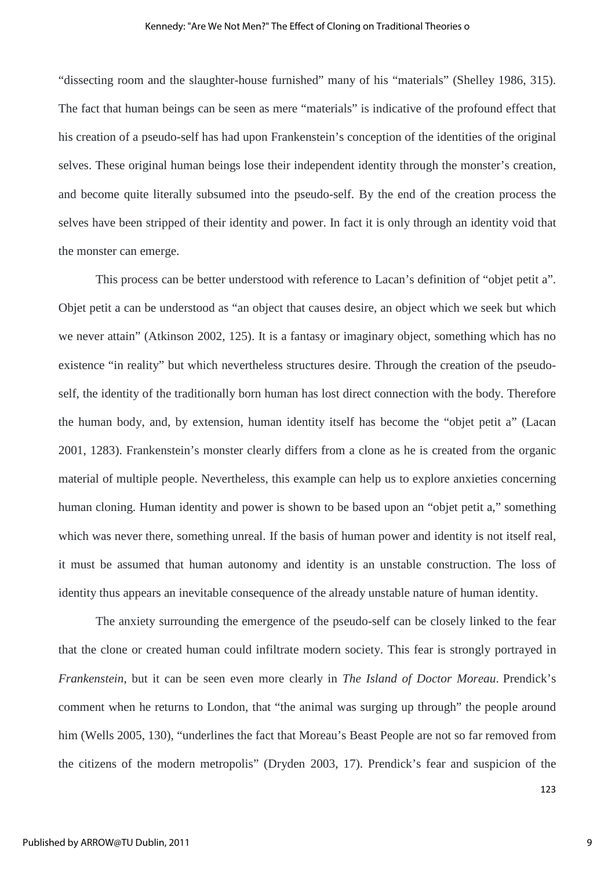"dissecting room and the slaughter-house furnished" many of his "materials" (Shelley 1986, 315). The fact that human beings can be seen as mere "materials" is indicative of the profound effect that his creation of a pseudo-self has had upon Frankenstein's conception of the identities of the original selves. These original human beings lose their independent identity through the monster's creation, and become quite literally subsumed into the pseudo-self. By the end of the creation process the selves have been stripped of their identity and power. In fact it is only through an identity void that the monster can emerge.

This process can be better understood with reference to Lacan's definition of "objet petit a". Objet petit a can be understood as "an object that causes desire, an object which we seek but which we never attain" (Atkinson 2002, 125). It is a fantasy or imaginary object, something which has no existence "in reality" but which nevertheless structures desire. Through the creation of the pseudoself, the identity of the traditionally born human has lost direct connection with the body. Therefore the human body, and, by extension, human identity itself has become the "objet petit a" (Lacan 2001, 1283). Frankenstein's monster clearly differs from a clone as he is created from the organic material of multiple people. Nevertheless, this example can help us to explore anxieties concerning human cloning. Human identity and power is shown to be based upon an "objet petit a," something which was never there, something unreal. If the basis of human power and identity is not itself real, it must be assumed that human autonomy and identity is an unstable construction. The loss of identity thus appears an inevitable consequence of the already unstable nature of human identity.

The anxiety surrounding the emergence of the pseudo-self can be closely linked to the fear that the clone or created human could infiltrate modern society. This fear is strongly portrayed in *Frankenstein*, but it can be seen even more clearly in *The Island of Doctor Moreau*. Prendick's comment when he returns to London, that "the animal was surging up through" the people around him (Wells 2005, 130), "underlines the fact that Moreau's Beast People are not so far removed from the citizens of the modern metropolis" (Dryden 2003, 17). Prendick's fear and suspicion of the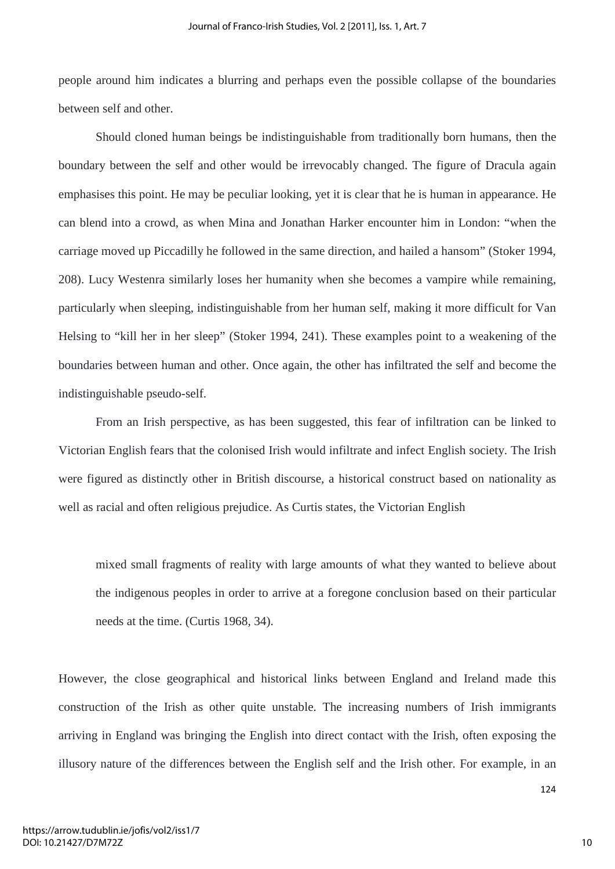people around him indicates a blurring and perhaps even the possible collapse of the boundaries between self and other.

Should cloned human beings be indistinguishable from traditionally born humans, then the boundary between the self and other would be irrevocably changed. The figure of Dracula again emphasises this point. He may be peculiar looking, yet it is clear that he is human in appearance. He can blend into a crowd, as when Mina and Jonathan Harker encounter him in London: "when the carriage moved up Piccadilly he followed in the same direction, and hailed a hansom" (Stoker 1994, 208). Lucy Westenra similarly loses her humanity when she becomes a vampire while remaining, particularly when sleeping, indistinguishable from her human self, making it more difficult for Van Helsing to "kill her in her sleep" (Stoker 1994, 241). These examples point to a weakening of the boundaries between human and other. Once again, the other has infiltrated the self and become the indistinguishable pseudo-self.

From an Irish perspective, as has been suggested, this fear of infiltration can be linked to Victorian English fears that the colonised Irish would infiltrate and infect English society. The Irish were figured as distinctly other in British discourse, a historical construct based on nationality as well as racial and often religious prejudice. As Curtis states, the Victorian English

mixed small fragments of reality with large amounts of what they wanted to believe about the indigenous peoples in order to arrive at a foregone conclusion based on their particular needs at the time. (Curtis 1968, 34).

However, the close geographical and historical links between England and Ireland made this construction of the Irish as other quite unstable. The increasing numbers of Irish immigrants arriving in England was bringing the English into direct contact with the Irish, often exposing the illusory nature of the differences between the English self and the Irish other. For example, in an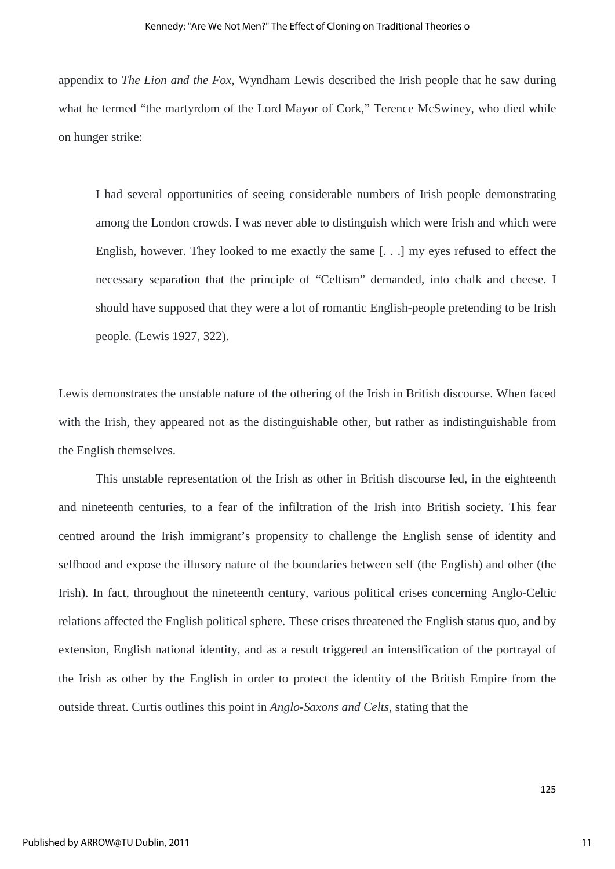appendix to *The Lion and the Fox*, Wyndham Lewis described the Irish people that he saw during what he termed "the martyrdom of the Lord Mayor of Cork," Terence McSwiney, who died while on hunger strike:

I had several opportunities of seeing considerable numbers of Irish people demonstrating among the London crowds. I was never able to distinguish which were Irish and which were English, however. They looked to me exactly the same [. . .] my eyes refused to effect the necessary separation that the principle of "Celtism" demanded, into chalk and cheese. I should have supposed that they were a lot of romantic English-people pretending to be Irish people. (Lewis 1927, 322).

Lewis demonstrates the unstable nature of the othering of the Irish in British discourse. When faced with the Irish, they appeared not as the distinguishable other, but rather as indistinguishable from the English themselves.

This unstable representation of the Irish as other in British discourse led, in the eighteenth and nineteenth centuries, to a fear of the infiltration of the Irish into British society. This fear centred around the Irish immigrant's propensity to challenge the English sense of identity and selfhood and expose the illusory nature of the boundaries between self (the English) and other (the Irish). In fact, throughout the nineteenth century, various political crises concerning Anglo-Celtic relations affected the English political sphere. These crises threatened the English status quo, and by extension, English national identity, and as a result triggered an intensification of the portrayal of the Irish as other by the English in order to protect the identity of the British Empire from the outside threat. Curtis outlines this point in *Anglo-Saxons and Celts*, stating that the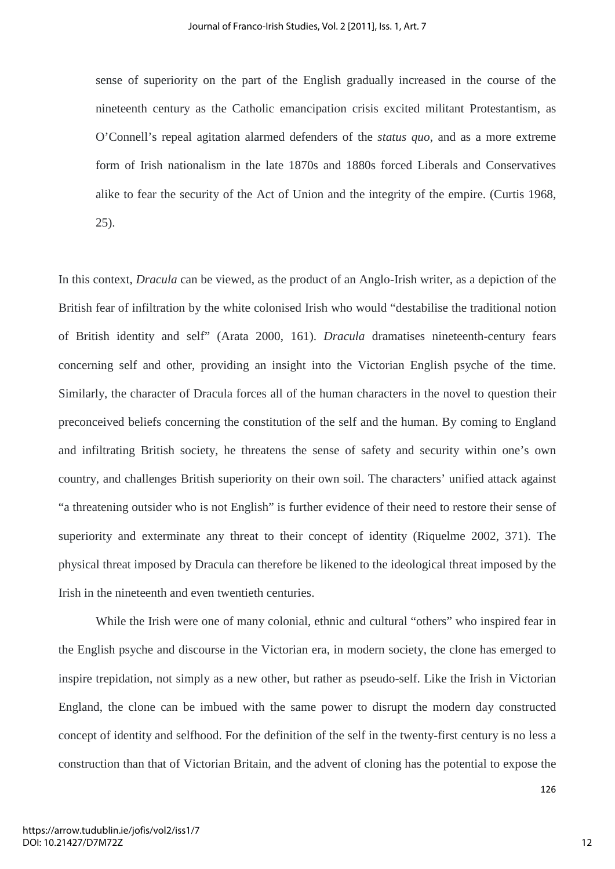sense of superiority on the part of the English gradually increased in the course of the nineteenth century as the Catholic emancipation crisis excited militant Protestantism, as O'Connell's repeal agitation alarmed defenders of the *status quo*, and as a more extreme form of Irish nationalism in the late 1870s and 1880s forced Liberals and Conservatives alike to fear the security of the Act of Union and the integrity of the empire. (Curtis 1968, 25).

In this context, *Dracula* can be viewed, as the product of an Anglo-Irish writer, as a depiction of the British fear of infiltration by the white colonised Irish who would "destabilise the traditional notion of British identity and self" (Arata 2000, 161). *Dracula* dramatises nineteenth-century fears concerning self and other, providing an insight into the Victorian English psyche of the time. Similarly, the character of Dracula forces all of the human characters in the novel to question their preconceived beliefs concerning the constitution of the self and the human. By coming to England and infiltrating British society, he threatens the sense of safety and security within one's own country, and challenges British superiority on their own soil. The characters' unified attack against "a threatening outsider who is not English" is further evidence of their need to restore their sense of superiority and exterminate any threat to their concept of identity (Riquelme 2002, 371). The physical threat imposed by Dracula can therefore be likened to the ideological threat imposed by the Irish in the nineteenth and even twentieth centuries.

While the Irish were one of many colonial, ethnic and cultural "others" who inspired fear in the English psyche and discourse in the Victorian era, in modern society, the clone has emerged to inspire trepidation, not simply as a new other, but rather as pseudo-self. Like the Irish in Victorian England, the clone can be imbued with the same power to disrupt the modern day constructed concept of identity and selfhood. For the definition of the self in the twenty-first century is no less a construction than that of Victorian Britain, and the advent of cloning has the potential to expose the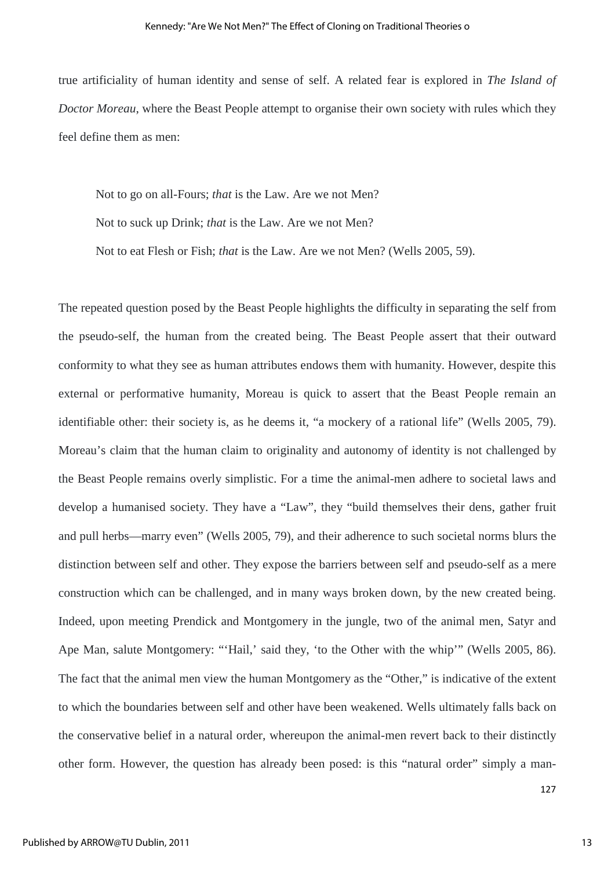true artificiality of human identity and sense of self. A related fear is explored in *The Island of Doctor Moreau*, where the Beast People attempt to organise their own society with rules which they feel define them as men:

 Not to go on all-Fours; *that* is the Law. Are we not Men? Not to suck up Drink; *that* is the Law. Are we not Men? Not to eat Flesh or Fish; *that* is the Law. Are we not Men? (Wells 2005, 59).

The repeated question posed by the Beast People highlights the difficulty in separating the self from the pseudo-self, the human from the created being. The Beast People assert that their outward conformity to what they see as human attributes endows them with humanity. However, despite this external or performative humanity, Moreau is quick to assert that the Beast People remain an identifiable other: their society is, as he deems it, "a mockery of a rational life" (Wells 2005, 79). Moreau's claim that the human claim to originality and autonomy of identity is not challenged by the Beast People remains overly simplistic. For a time the animal-men adhere to societal laws and develop a humanised society. They have a "Law", they "build themselves their dens, gather fruit and pull herbs—marry even" (Wells 2005, 79), and their adherence to such societal norms blurs the distinction between self and other. They expose the barriers between self and pseudo-self as a mere construction which can be challenged, and in many ways broken down, by the new created being. Indeed, upon meeting Prendick and Montgomery in the jungle, two of the animal men, Satyr and Ape Man, salute Montgomery: "'Hail,' said they, 'to the Other with the whip'" (Wells 2005, 86). The fact that the animal men view the human Montgomery as the "Other," is indicative of the extent to which the boundaries between self and other have been weakened. Wells ultimately falls back on the conservative belief in a natural order, whereupon the animal-men revert back to their distinctly other form. However, the question has already been posed: is this "natural order" simply a man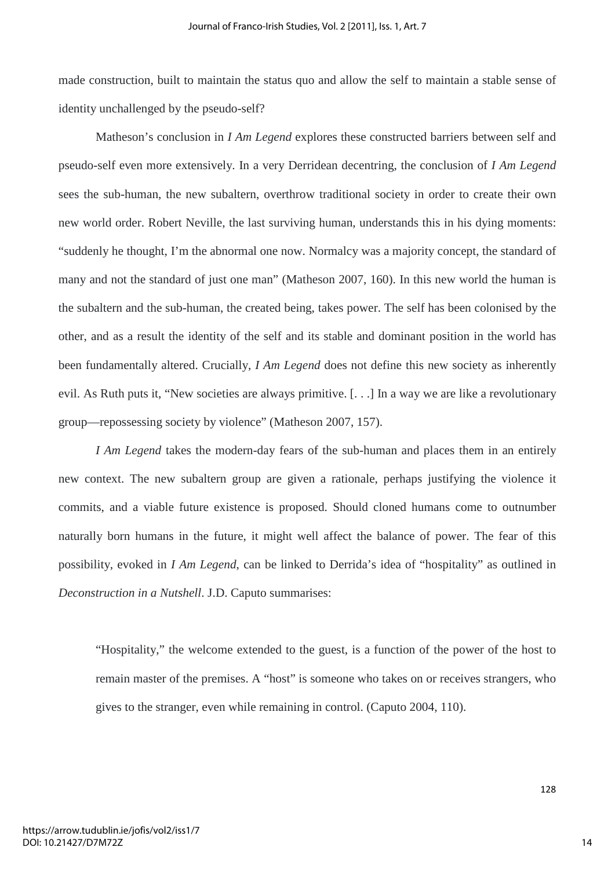made construction, built to maintain the status quo and allow the self to maintain a stable sense of identity unchallenged by the pseudo-self?

 Matheson's conclusion in *I Am Legend* explores these constructed barriers between self and pseudo-self even more extensively. In a very Derridean decentring, the conclusion of *I Am Legend* sees the sub-human, the new subaltern, overthrow traditional society in order to create their own new world order. Robert Neville, the last surviving human, understands this in his dying moments: "suddenly he thought, I'm the abnormal one now. Normalcy was a majority concept, the standard of many and not the standard of just one man" (Matheson 2007, 160). In this new world the human is the subaltern and the sub-human, the created being, takes power. The self has been colonised by the other, and as a result the identity of the self and its stable and dominant position in the world has been fundamentally altered. Crucially, *I Am Legend* does not define this new society as inherently evil. As Ruth puts it, "New societies are always primitive. [. . .] In a way we are like a revolutionary group—repossessing society by violence" (Matheson 2007, 157).

*I Am Legend* takes the modern-day fears of the sub-human and places them in an entirely new context. The new subaltern group are given a rationale, perhaps justifying the violence it commits, and a viable future existence is proposed. Should cloned humans come to outnumber naturally born humans in the future, it might well affect the balance of power. The fear of this possibility, evoked in *I Am Legend*, can be linked to Derrida's idea of "hospitality" as outlined in *Deconstruction in a Nutshell*. J.D. Caputo summarises:

"Hospitality," the welcome extended to the guest, is a function of the power of the host to remain master of the premises. A "host" is someone who takes on or receives strangers, who gives to the stranger, even while remaining in control. (Caputo 2004, 110).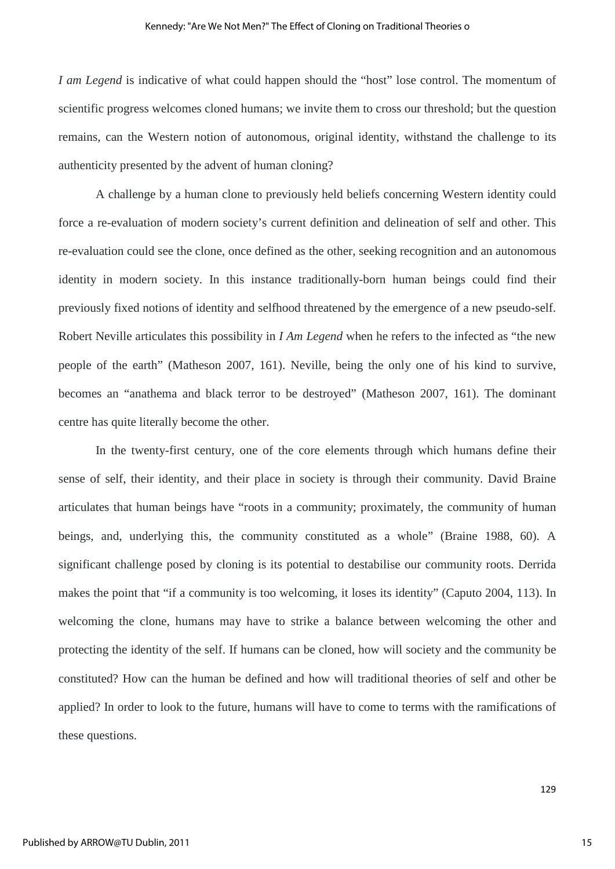*I am Legend* is indicative of what could happen should the "host" lose control. The momentum of scientific progress welcomes cloned humans; we invite them to cross our threshold; but the question remains, can the Western notion of autonomous, original identity, withstand the challenge to its authenticity presented by the advent of human cloning?

A challenge by a human clone to previously held beliefs concerning Western identity could force a re-evaluation of modern society's current definition and delineation of self and other. This re-evaluation could see the clone, once defined as the other, seeking recognition and an autonomous identity in modern society. In this instance traditionally-born human beings could find their previously fixed notions of identity and selfhood threatened by the emergence of a new pseudo-self. Robert Neville articulates this possibility in *I Am Legend* when he refers to the infected as "the new people of the earth" (Matheson 2007, 161). Neville, being the only one of his kind to survive, becomes an "anathema and black terror to be destroyed" (Matheson 2007, 161). The dominant centre has quite literally become the other.

In the twenty-first century, one of the core elements through which humans define their sense of self, their identity, and their place in society is through their community. David Braine articulates that human beings have "roots in a community; proximately, the community of human beings, and, underlying this, the community constituted as a whole" (Braine 1988, 60). A significant challenge posed by cloning is its potential to destabilise our community roots. Derrida makes the point that "if a community is too welcoming, it loses its identity" (Caputo 2004, 113). In welcoming the clone, humans may have to strike a balance between welcoming the other and protecting the identity of the self. If humans can be cloned, how will society and the community be constituted? How can the human be defined and how will traditional theories of self and other be applied? In order to look to the future, humans will have to come to terms with the ramifications of these questions.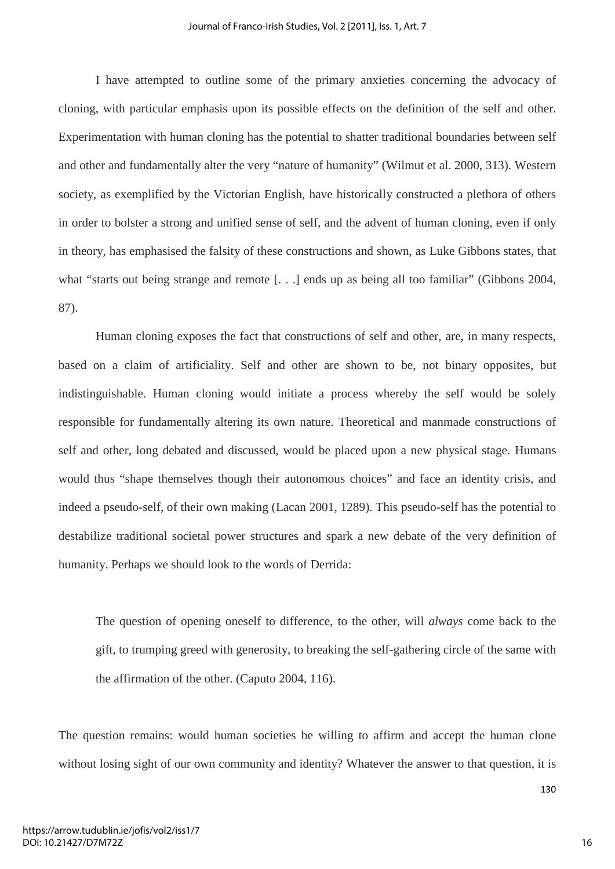I have attempted to outline some of the primary anxieties concerning the advocacy of cloning, with particular emphasis upon its possible effects on the definition of the self and other. Experimentation with human cloning has the potential to shatter traditional boundaries between self and other and fundamentally alter the very "nature of humanity" (Wilmut et al. 2000, 313). Western society, as exemplified by the Victorian English, have historically constructed a plethora of others in order to bolster a strong and unified sense of self, and the advent of human cloning, even if only in theory, has emphasised the falsity of these constructions and shown, as Luke Gibbons states, that what "starts out being strange and remote [...] ends up as being all too familiar" (Gibbons 2004, 87).

Human cloning exposes the fact that constructions of self and other, are, in many respects, based on a claim of artificiality. Self and other are shown to be, not binary opposites, but indistinguishable. Human cloning would initiate a process whereby the self would be solely responsible for fundamentally altering its own nature. Theoretical and manmade constructions of self and other, long debated and discussed, would be placed upon a new physical stage. Humans would thus "shape themselves though their autonomous choices" and face an identity crisis, and indeed a pseudo-self, of their own making (Lacan 2001, 1289). This pseudo-self has the potential to destabilize traditional societal power structures and spark a new debate of the very definition of humanity. Perhaps we should look to the words of Derrida:

The question of opening oneself to difference, to the other, will *always* come back to the gift, to trumping greed with generosity, to breaking the self-gathering circle of the same with the affirmation of the other. (Caputo 2004, 116).

The question remains: would human societies be willing to affirm and accept the human clone without losing sight of our own community and identity? Whatever the answer to that question, it is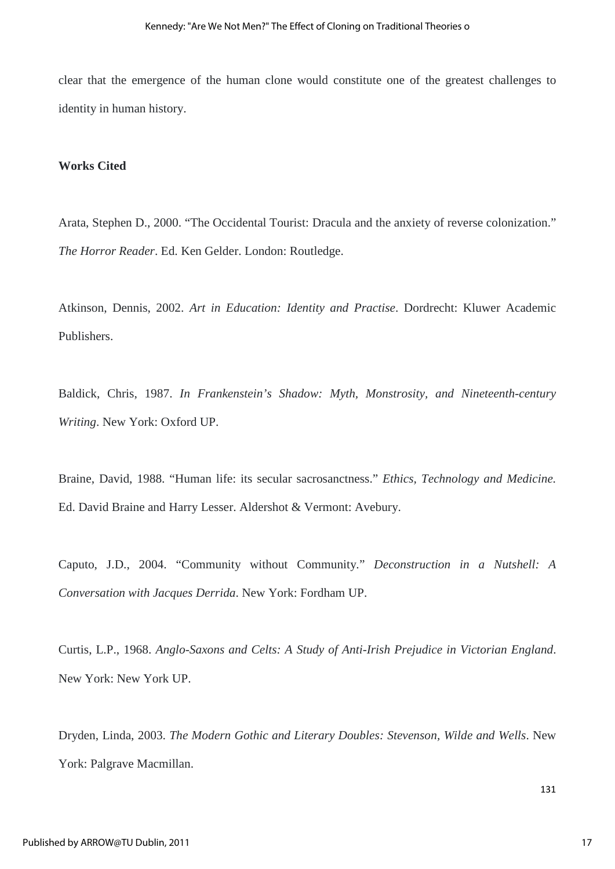clear that the emergence of the human clone would constitute one of the greatest challenges to identity in human history.

### **Works Cited**

Arata, Stephen D., 2000. "The Occidental Tourist: Dracula and the anxiety of reverse colonization." *The Horror Reader*. Ed. Ken Gelder. London: Routledge.

Atkinson, Dennis, 2002. *Art in Education: Identity and Practise*. Dordrecht: Kluwer Academic Publishers.

Baldick, Chris, 1987. *In Frankenstein's Shadow: Myth, Monstrosity, and Nineteenth-century Writing*. New York: Oxford UP.

Braine, David, 1988. "Human life: its secular sacrosanctness." *Ethics, Technology and Medicine.* Ed. David Braine and Harry Lesser. Aldershot & Vermont: Avebury.

Caputo, J.D., 2004. "Community without Community." *Deconstruction in a Nutshell: A Conversation with Jacques Derrida*. New York: Fordham UP.

Curtis, L.P., 1968. *Anglo-Saxons and Celts: A Study of Anti-Irish Prejudice in Victorian England*. New York: New York UP.

Dryden, Linda, 2003. *The Modern Gothic and Literary Doubles: Stevenson, Wilde and Wells*. New York: Palgrave Macmillan.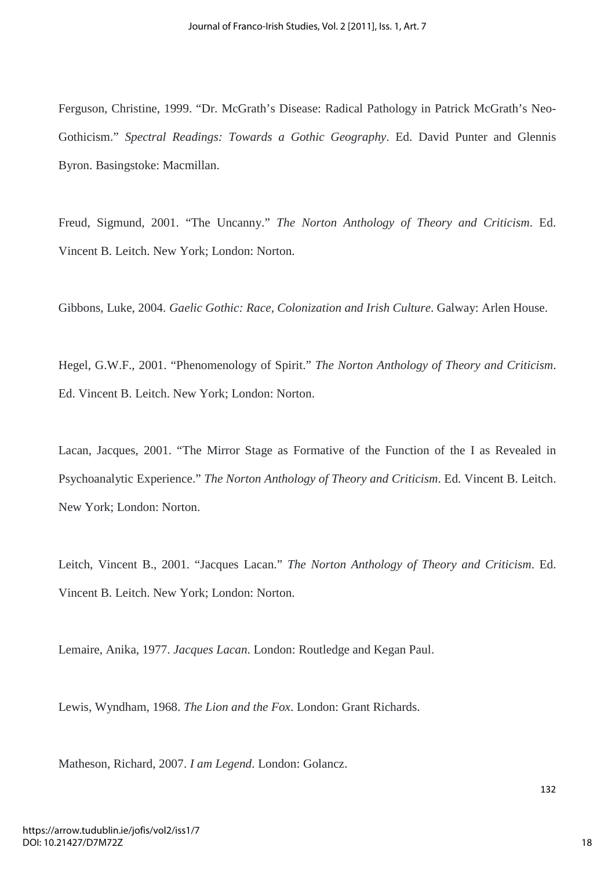Ferguson, Christine, 1999. "Dr. McGrath's Disease: Radical Pathology in Patrick McGrath's Neo-Gothicism." *Spectral Readings: Towards a Gothic Geography*. Ed. David Punter and Glennis Byron. Basingstoke: Macmillan.

Freud, Sigmund, 2001. "The Uncanny." *The Norton Anthology of Theory and Criticism*. Ed. Vincent B. Leitch. New York; London: Norton.

Gibbons, Luke, 2004. *Gaelic Gothic: Race, Colonization and Irish Culture*. Galway: Arlen House.

Hegel, G.W.F., 2001. "Phenomenology of Spirit." *The Norton Anthology of Theory and Criticism*. Ed. Vincent B. Leitch. New York; London: Norton.

Lacan, Jacques, 2001. "The Mirror Stage as Formative of the Function of the I as Revealed in Psychoanalytic Experience." *The Norton Anthology of Theory and Criticism*. Ed. Vincent B. Leitch. New York; London: Norton.

Leitch, Vincent B., 2001. "Jacques Lacan." *The Norton Anthology of Theory and Criticism*. Ed. Vincent B. Leitch. New York; London: Norton.

Lemaire, Anika, 1977. *Jacques Lacan*. London: Routledge and Kegan Paul.

Lewis, Wyndham, 1968. *The Lion and the Fox*. London: Grant Richards.

Matheson, Richard, 2007. *I am Legend*. London: Golancz.